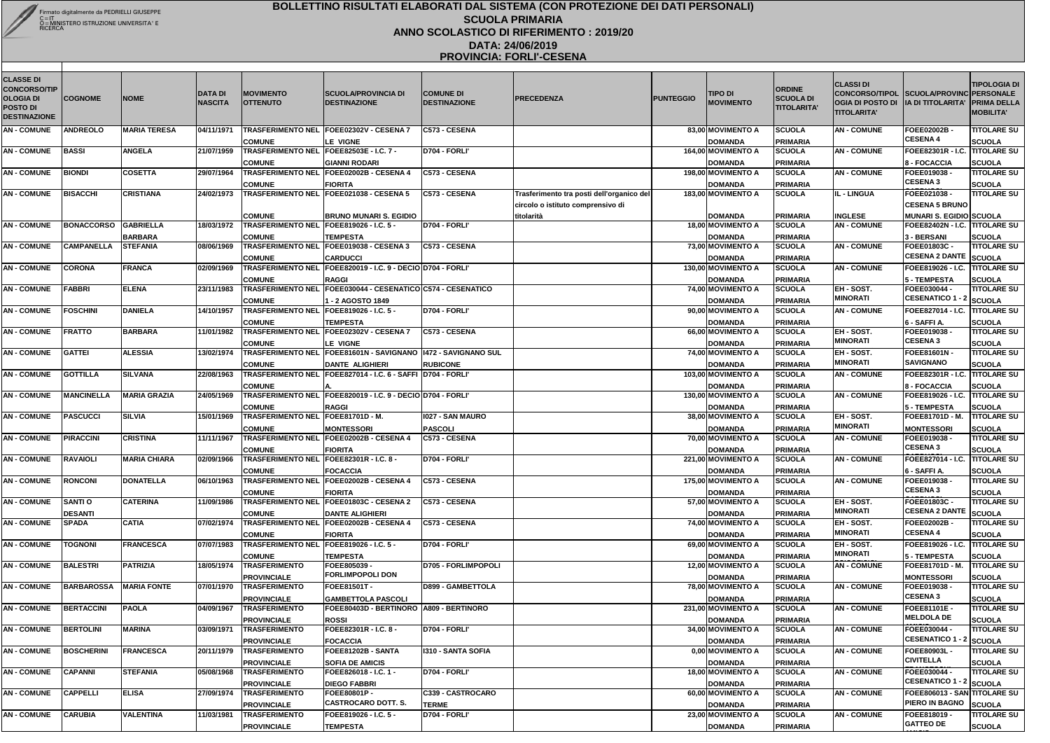| <b>CLASSE DI</b><br><b>CONCORSO/TIP</b><br><b>OLOGIA DI</b><br><b>POSTO DI</b> | <b>COGNOME</b>    | <b>NOME</b>         | <b>DATA DI</b><br><b>NASCITA</b> | <b>MOVIMENTO</b><br><b>OTTENUTO</b>                             | <b>ISCUOLA/PROVINCIA DI</b><br><b>DESTINAZIONE</b>                             | <b>COMUNE DI</b><br><b>DESTINAZIONE</b> | <b>PRECEDENZA</b>                         | <b>PUNTEGGIO</b> | TIPO DI<br><b>MOVIMENTO</b>          | <b>ORDINE</b><br><b>SCUOLA DI</b><br><b>TITOLARITA'</b> | <b>CLASSI DI</b><br>CONCORSO/TIPOL SCUOLA/PROVINC PERSONALE<br>OGIA DI POSTO DI   IA DI TITOLARITA' PRIMA DELLA |                                                              | <b>TIPOLOGIA DI</b>                 |
|--------------------------------------------------------------------------------|-------------------|---------------------|----------------------------------|-----------------------------------------------------------------|--------------------------------------------------------------------------------|-----------------------------------------|-------------------------------------------|------------------|--------------------------------------|---------------------------------------------------------|-----------------------------------------------------------------------------------------------------------------|--------------------------------------------------------------|-------------------------------------|
| <b>DESTINAZIONE</b>                                                            |                   |                     |                                  |                                                                 |                                                                                |                                         |                                           |                  |                                      |                                                         | <b>TITOLARITA'</b>                                                                                              |                                                              | <b>MOBILITA'</b>                    |
| <b>AN-COMUNE</b>                                                               | <b>ANDREOLO</b>   | <b>MARIA TERESA</b> | 04/11/1971                       |                                                                 | TRASFERIMENTO NEL FOEE02302V - CESENA 7                                        | C573 - CESENA                           |                                           |                  | 83,00 MOVIMENTO A                    | <b>SCUOLA</b>                                           | <b>AN-COMUNE</b>                                                                                                | <b>FOEE02002B</b><br><b>CESENA 4</b>                         | <b>TITOLARE SU</b>                  |
| <b>AN-COMUNE</b>                                                               | <b>BASSI</b>      | <b>ANGELA</b>       | 21/07/1959                       | <b>COMUNE</b><br><b>TRASFERIMENTO NEL</b>                       | <b>LE VIGNE</b><br>FOEE82503E - I.C. 7 -                                       | D704 - FORLI'                           |                                           |                  | <b>DOMANDA</b><br>164,00 MOVIMENTO A | <b>PRIMARIA</b><br><b>SCUOLA</b>                        | <b>AN-COMUNE</b>                                                                                                | FOEE82301R - I.C                                             | <b>SCUOLA</b><br><b>TITOLARE SU</b> |
|                                                                                |                   |                     |                                  | <b>COMUNE</b>                                                   | <b>GIANNI RODARI</b>                                                           |                                         |                                           |                  | <b>DOMANDA</b>                       | <b>PRIMARIA</b>                                         |                                                                                                                 | 8 - FOCACCIA                                                 | <b>SCUOLA</b>                       |
| <b>AN - COMUNE</b>                                                             | <b>BIONDI</b>     | <b>COSETTA</b>      | 29/07/1964                       |                                                                 | TRASFERIMENTO NEL FOEE02002B - CESENA 4                                        | C573 - CESENA                           |                                           |                  | 198,00 MOVIMENTO A                   | <b>SCUOLA</b>                                           | <b>AN-COMUNE</b>                                                                                                | FOEE019038                                                   | <b>TITOLARE SU</b>                  |
|                                                                                |                   |                     |                                  | <b>COMUNE</b>                                                   | <b>FIORITA</b>                                                                 |                                         |                                           |                  | <b>DOMANDA</b>                       | <b>PRIMARIA</b>                                         |                                                                                                                 | <b>CESENA3</b>                                               | <b>SCUOLA</b>                       |
| <b>AN - COMUNE</b>                                                             | <b>BISACCHI</b>   | <b>CRISTIANA</b>    | 24/02/1973                       |                                                                 | TRASFERIMENTO NEL FOEE021038 - CESENA 5                                        | C573 - CESENA                           | Trasferimento tra posti dell'organico del |                  | 183,00 MOVIMENTO A                   | <b>SCUOLA</b>                                           | IL - LINGUA                                                                                                     | FOEE021038                                                   | <b>TITOLARE SU</b>                  |
|                                                                                |                   |                     |                                  |                                                                 |                                                                                |                                         | circolo o istituto comprensivo di         |                  |                                      |                                                         |                                                                                                                 | <b>CESENA 5 BRUNO</b>                                        |                                     |
|                                                                                |                   |                     |                                  | <b>COMUNE</b>                                                   | <b>BRUNO MUNARI S. EGIDIO</b>                                                  |                                         | titolarità                                |                  | <b>DOMANDA</b>                       | <b>PRIMARIA</b>                                         | <b>INGLESE</b>                                                                                                  | MUNARI S. EGIDIO SCUOLA                                      |                                     |
| <b>AN-COMUNE</b>                                                               | <b>BONACCORSO</b> | <b>GABRIELLA</b>    | 18/03/1972                       | <b>TRASFERIMENTO NEL FOEE819026 - I.C. 5 -</b>                  |                                                                                | D704 - FORLI'                           |                                           |                  | 18,00 MOVIMENTO A                    | <b>SCUOLA</b>                                           | <b>AN - COMUNE</b>                                                                                              | <b>FOEE82402N - I.C. TITOLARE SU</b>                         |                                     |
|                                                                                |                   | <b>BARBARA</b>      |                                  | <b>COMUNE</b>                                                   | <b>TEMPESTA</b>                                                                |                                         |                                           |                  | <b>DOMANDA</b>                       | <b>PRIMARIA</b>                                         |                                                                                                                 | 3 - BERSANI                                                  | <b>SCUOLA</b>                       |
| <b>AN-COMUNE</b>                                                               | <b>CAMPANELLA</b> | <b>STEFANIA</b>     | 08/06/1969                       |                                                                 | TRASFERIMENTO NEL FOEE019038 - CESENA 3                                        | C573 - CESENA                           |                                           |                  | 73,00 MOVIMENTO A                    | <b>SCUOLA</b>                                           | <b>AN-COMUNE</b>                                                                                                | FOEE01803C -<br>CESENA 2 DANTE SCUOLA                        | <b>TITOLARE SU</b>                  |
| <b>AN-COMUNE</b>                                                               | <b>CORONA</b>     | <b>FRANCA</b>       | 02/09/1969                       | <b>COMUNE</b>                                                   | <b>CARDUCCI</b><br>TRASFERIMENTO NEL FOEE820019 - I.C. 9 - DECIO D704 - FORLI' |                                         |                                           |                  | <b>DOMANDA</b><br>130,00 MOVIMENTO A | <b>PRIMARIA</b><br><b>SCUOLA</b>                        | <b>AN-COMUNE</b>                                                                                                | FOEE819026 - I.C                                             | <b>TITOLARE SU</b>                  |
|                                                                                |                   |                     |                                  | <b>COMUNE</b>                                                   |                                                                                |                                         |                                           |                  |                                      |                                                         |                                                                                                                 |                                                              |                                     |
| <b>AN-COMUNE</b>                                                               | <b>FABBRI</b>     | <b>ELENA</b>        | 23/11/1983                       |                                                                 | <b>RAGGI</b><br>TRASFERIMENTO NEL FOEE030044 - CESENATICO C574 - CESENATICO    |                                         |                                           |                  | <b>DOMANDA</b><br>74,00 MOVIMENTO A  | <b>PRIMARIA</b><br><b>SCUOLA</b>                        | EH - SOST.                                                                                                      | 5 - TEMPESTA<br>FOEE030044 -                                 | <b>SCUOLA</b><br><b>TITOLARE SU</b> |
|                                                                                |                   |                     |                                  | <b>COMUNE</b>                                                   | 1 - 2 AGOSTO 1849                                                              |                                         |                                           |                  | <b>DOMANDA</b>                       | PRIMARIA                                                | <b>MINORATI</b>                                                                                                 | CESENATICO 1 - 2 SCUOLA                                      |                                     |
| <b>AN-COMUNE</b>                                                               | <b>FOSCHINI</b>   | <b>DANIELA</b>      | 14/10/1957                       | TRASFERIMENTO NEL   FOEE819026 - I.C. 5 -                       |                                                                                | D704 - FORLI'                           |                                           |                  | 90,00 MOVIMENTO A                    | <b>SCUOLA</b>                                           | <b>AN - COMUNE</b>                                                                                              | FOEE827014 - I.C                                             | <b>TITOLARE SU</b>                  |
|                                                                                |                   |                     |                                  | <b>COMUNE</b>                                                   | <b>TEMPESTA</b>                                                                |                                         |                                           |                  | <b>DOMANDA</b>                       | <b>PRIMARIA</b>                                         |                                                                                                                 | 6 - SAFFI A.                                                 | <b>SCUOLA</b>                       |
| <b>AN-COMUNE</b>                                                               | <b>FRATTO</b>     | <b>BARBARA</b>      | 11/01/1982                       |                                                                 | TRASFERIMENTO NEL FOEE02302V - CESENA 7                                        | C573 - CESENA                           |                                           |                  | 66,00 MOVIMENTO A                    | <b>SCUOLA</b>                                           | <b>EH-SOST.</b>                                                                                                 | FOEE019038                                                   | <b>TITOLARE SU</b>                  |
|                                                                                |                   |                     |                                  | <b>COMUNE</b>                                                   | LE VIGNE                                                                       |                                         |                                           |                  | <b>DOMANDA</b>                       | PRIMARIA                                                | <b>MINORATI</b>                                                                                                 | <b>CESENA3</b>                                               | <b>SCUOLA</b>                       |
| <b>AN - COMUNE</b>                                                             | <b>GATTEI</b>     | <b>ALESSIA</b>      | 13/02/1974                       |                                                                 | TRASFERIMENTO NEL FOEE81601N - SAVIGNANO   1472 - SAVIGNANO SUL                |                                         |                                           |                  | 74,00 MOVIMENTO A                    | <b>SCUOLA</b>                                           | <b>EH-SOST.</b>                                                                                                 | <b>FOEE81601N</b>                                            | <b>TITOLARE SU</b>                  |
|                                                                                |                   |                     |                                  | <b>COMUNE</b>                                                   | <b>DANTE ALIGHIERI</b>                                                         | <b>RUBICONE</b>                         |                                           |                  | <b>DOMANDA</b>                       | PRIMARIA                                                | <b>MINORATI</b>                                                                                                 | <b>SAVIGNANO</b>                                             | <b>SCUOLA</b>                       |
| <b>AN-COMUNE</b>                                                               | <b>GOTTILLA</b>   | <b>SILVANA</b>      | 22/08/1963                       |                                                                 | TRASFERIMENTO NEL FOEE827014 - I.C. 6 - SAFFI D704 - FORLI'                    |                                         |                                           |                  | 103,00 MOVIMENTO A                   | <b>SCUOLA</b>                                           | <b>AN - COMUNE</b>                                                                                              | <b>FOEE82301R - I.C</b>                                      | . <b>TITOLARE SU</b>                |
|                                                                                |                   |                     |                                  | <b>COMUNE</b>                                                   |                                                                                |                                         |                                           |                  | <b>DOMANDA</b>                       | <b>PRIMARIA</b>                                         |                                                                                                                 | 8 - FOCACCIA                                                 | <b>SCUOLA</b>                       |
| <b>AN-COMUNE</b>                                                               | <b>MANCINELLA</b> | <b>MARIA GRAZIA</b> | 24/05/1969                       |                                                                 | TRASFERIMENTO NEL FOEE820019 - I.C. 9 - DECIO D704 - FORLI'                    |                                         |                                           |                  | 130,00 MOVIMENTO A                   | <b>SCUOLA</b>                                           | <b>AN-COMUNE</b>                                                                                                | FOEE819026 - I.C. TITOLARE SU                                |                                     |
|                                                                                |                   |                     |                                  | <b>COMUNE</b>                                                   | <b>RAGGI</b>                                                                   |                                         |                                           |                  | <b>DOMANDA</b>                       | <b>PRIMARIA</b>                                         |                                                                                                                 | 5 - TEMPESTA                                                 | <b>SCUOLA</b>                       |
| <b>AN-COMUNE</b>                                                               | <b>PASCUCCI</b>   | <b>SILVIA</b>       | 15/01/1969                       | TRASFERIMENTO NEL FOEE81701D - M.                               |                                                                                | 1027 - SAN MAURO                        |                                           |                  | 38,00 MOVIMENTO A                    | <b>SCUOLA</b>                                           | <b>EH-SOST.</b><br><b>MINORATI</b>                                                                              | <b>FOEE81701D - M.</b>                                       | <b>TITOLARE SU</b>                  |
| <b>AN-COMUNE</b>                                                               | <b>PIRACCINI</b>  | <b>CRISTINA</b>     | 11/11/1967                       | <b>COMUNE</b>                                                   | <b>MONTESSORI</b><br>TRASFERIMENTO NEL FOEE02002B - CESENA 4                   | <b>PASCOLI</b><br>C573 - CESENA         |                                           |                  | <b>DOMANDA</b><br>70,00 MOVIMENTO A  | PRIMARIA<br><b>SCUOLA</b>                               | <b>AN - COMUNE</b>                                                                                              | <b>MONTESSORI</b><br>FOEE019038 -                            | <b>SCUOLA</b><br><b>TITOLARE SU</b> |
|                                                                                |                   |                     |                                  | <b>COMUNE</b>                                                   | <b>FIORITA</b>                                                                 |                                         |                                           |                  | <b>DOMANDA</b>                       | <b>PRIMARIA</b>                                         |                                                                                                                 | <b>CESENA3</b>                                               | <b>SCUOLA</b>                       |
| AN-COMUNE RAVAIOLI                                                             |                   | <b>MARIA CHIARA</b> |                                  | 02/09/1966   TRASFERIMENTO NEL FOEE82301R - I.C. 8 -            |                                                                                | D704 - FORLI'                           |                                           |                  | 221,00 MOVIMENTO A                   | <b>SCUOLA</b>                                           | <b>AN-COMUNE</b>                                                                                                | <b>FOEE827014 - I.C. TITOLARE SU</b>                         |                                     |
|                                                                                |                   |                     |                                  | <b>COMUNE</b>                                                   | <b>FOCACCIA</b>                                                                |                                         |                                           |                  | <b>DOMANDA</b>                       | <b>PRIMARIA</b>                                         |                                                                                                                 | 6 - SAFFI A.                                                 | <b>SCUOLA</b>                       |
| <b>AN - COMUNE</b>                                                             | <b>RONCONI</b>    | <b>DONATELLA</b>    | 06/10/1963                       |                                                                 | TRASFERIMENTO NEL FOEE02002B - CESENA 4                                        | C573 - CESENA                           |                                           |                  | 175,00 MOVIMENTO A                   | <b>SCUOLA</b>                                           | <b>AN-COMUNE</b>                                                                                                | FOEE019038 -                                                 | <b>TITOLARE SU</b>                  |
|                                                                                |                   |                     |                                  | <b>COMUNE</b>                                                   | <b>FIORITA</b>                                                                 |                                         |                                           |                  | <b>DOMANDA</b>                       | <b>PRIMARIA</b>                                         |                                                                                                                 | <b>CESENA 3</b>                                              | <b>SCUOLA</b>                       |
| <b>AN - COMUNE</b>                                                             | <b>SANTI O</b>    | <b>CATERINA</b>     | 11/09/1986                       |                                                                 | TRASFERIMENTO NEL FOEE01803C - CESENA 2                                        | C573 - CESENA                           |                                           |                  | 57,00 MOVIMENTO A                    | <b>SCUOLA</b>                                           | EH - SOST.                                                                                                      | FOEE01803C -                                                 | <b>TITOLARE SU</b>                  |
|                                                                                | <b>DESANTI</b>    |                     |                                  | <b>COMUNE</b>                                                   | <b>DANTE ALIGHIERI</b>                                                         |                                         |                                           |                  | <b>DOMANDA</b>                       | PRIMARIA                                                | <b>MINORATI</b>                                                                                                 | <b>CESENA 2 DANT</b>                                         | <b>SCUOLA</b>                       |
| <b>AN - COMUNE</b>                                                             | <b>SPADA</b>      | <b>CATIA</b>        | 07/02/1974                       |                                                                 | <b>TRASFERIMENTO NEL FOEE02002B - CESENA 4</b>                                 | C573 - CESENA                           |                                           |                  | 74,00 MOVIMENTO A                    | <b>SCUOLA</b>                                           | EH - SOST.                                                                                                      | FOEE02002B-<br><b>CESENA4</b>                                | <b>TITOLARE SU</b>                  |
|                                                                                |                   |                     |                                  | <b>COMUNE</b><br><b>TRASFERIMENTO NEL FOEE819026 - I.C. 5 -</b> | <b>FIORITA</b>                                                                 |                                         |                                           |                  | <b>DOMANDA</b>                       | PRIMARIA                                                | <b>MINORATI</b>                                                                                                 |                                                              | <b>SCUOLA</b>                       |
| <b>AN - COMUNE</b>                                                             | <b>TOGNONI</b>    | <b>FRANCESCA</b>    | 07/07/1983                       |                                                                 |                                                                                | D704 - FORLI'                           |                                           |                  | 69,00 MOVIMENTO A                    | <b>SCUOLA</b>                                           | EH - SOST.<br><b>MINORATI</b>                                                                                   | FOEE819026 - I.C. TITOLARE SU                                |                                     |
| <b>AN - COMUNE</b>                                                             | <b>BALESTRI</b>   | <b>PATRIZIA</b>     | 18/05/1974                       | <b>COMUNE</b><br><b>TRASFERIMENTO</b>                           | <b>TEMPESTA</b><br>FOEE805039 -                                                | D705 - FORLIMPOPOLI                     |                                           |                  | <b>DOMANDA</b><br>12,00 MOVIMENTO A  | <b>PRIMARIA</b><br><b>SCUOLA</b>                        | <b>AN-COMUNE</b>                                                                                                | 5 - TEMPESTA<br>FOEE81701D - M.                              | <b>SCUOLA</b><br><b>TITOLARE SU</b> |
|                                                                                |                   |                     |                                  | <b>PROVINCIALE</b>                                              | <b>FORLIMPOPOLI DON</b>                                                        |                                         |                                           |                  | <b>DOMANDA</b>                       | <b>PRIMARIA</b>                                         |                                                                                                                 | <b>MONTESSORI</b>                                            | <b>SCUOLA</b>                       |
| <b>AN - COMUNE</b>                                                             | <b>BARBAROSSA</b> | <b>MARIA FONTE</b>  | 07/01/1970                       | <b>TRASFERIMENTO</b>                                            | FOEE81501T-                                                                    | <b>D899 - GAMBETTOLA</b>                |                                           |                  | 78,00 MOVIMENTO A                    | <b>SCUOLA</b>                                           | <b>AN - COMUNE</b>                                                                                              | FOEE019038 -                                                 | <b>TITOLARE SU</b>                  |
|                                                                                |                   |                     |                                  | <b>PROVINCIALE</b>                                              | <b>GAMBETTOLA PASCOLI</b>                                                      |                                         |                                           |                  | <b>DOMANDA</b>                       | <b>PRIMARIA</b>                                         |                                                                                                                 | <b>CESENA 3</b>                                              | <b>SCUOLA</b>                       |
| <b>AN - COMUNE</b>                                                             | <b>BERTACCINI</b> | <b>PAOLA</b>        | 04/09/1967                       | <b>TRASFERIMENTO</b>                                            | FOEE80403D - BERTINORO   A809 - BERTINORO                                      |                                         |                                           |                  | 231,00 MOVIMENTO A                   | <b>SCUOLA</b>                                           | <b>AN-COMUNE</b>                                                                                                | FOEE81101E -                                                 | <b>TITOLARE SU</b>                  |
|                                                                                |                   |                     |                                  | <b>PROVINCIALE</b>                                              | <b>ROSSI</b>                                                                   |                                         |                                           |                  | <b>DOMANDA</b>                       | <b>IPRIMARIA</b>                                        |                                                                                                                 | <b>MELDOLA DE</b>                                            | <b>SCUOLA</b>                       |
| <b>AN - COMUNE</b>                                                             | <b>BERTOLINI</b>  | <b>MARINA</b>       | 03/09/1971                       | <b>TRASFERIMENTO</b>                                            | FOEE82301R - I.C. 8 -                                                          | D704 - FORLI'                           |                                           |                  | 34,00 MOVIMENTO A                    | <b>SCUOLA</b>                                           | <b>AN-COMUNE</b>                                                                                                | FOEE030044 -                                                 | <b>TITOLARE SU</b>                  |
|                                                                                |                   |                     |                                  | <b>PROVINCIALE</b>                                              | <b>FOCACCIA</b>                                                                |                                         |                                           |                  | <b>DOMANDA</b>                       | <b>IPRIMARIA</b>                                        |                                                                                                                 | CESENATICO 1 .                                               | <sup>2</sup> SCUOLA                 |
| <b>AN - COMUNE</b>                                                             | <b>BOSCHERINI</b> | <b>FRANCESCA</b>    |                                  | 20/11/1979 TRASFERIMENTO                                        | FOEE81202B - SANTA                                                             | <b>I310 - SANTA SOFIA</b>               |                                           |                  | 0,00 MOVIMENTO A                     | <b>SCUOLA</b>                                           | <b>AN-COMUNE</b>                                                                                                | <b>FOEE80903L-</b>                                           | <b>TITOLARE SU</b>                  |
|                                                                                |                   |                     |                                  | <b>PROVINCIALE</b>                                              | <b>SOFIA DE AMICIS</b>                                                         |                                         |                                           |                  | <b>DOMANDA</b>                       | <b>IPRIMARIA</b>                                        |                                                                                                                 | <b>CIVITELLA</b>                                             | <b>SCUOLA</b>                       |
| <b>AN - COMUNE</b>                                                             | <b>CAPANNI</b>    | <b>STEFANIA</b>     | 05/08/1968                       | <b>TRASFERIMENTO</b>                                            | FOEE826018 - I.C. 1 -                                                          | D704 - FORLI'                           |                                           |                  | 18,00 MOVIMENTO A                    | <b>SCUOLA</b>                                           | <b>AN-COMUNE</b>                                                                                                | FOEE030044 -                                                 | <b>TITOLARE SU</b>                  |
|                                                                                |                   |                     |                                  | <b>PROVINCIALE</b>                                              | <b>DIEGO FABBRI</b>                                                            |                                         |                                           |                  | <b>DOMANDA</b>                       | PRIMARIA                                                |                                                                                                                 | CESENATICO 1 - 2 SCUOLA                                      |                                     |
| <b>AN - COMUNE</b>                                                             | <b>CAPPELLI</b>   | <b>ELISA</b>        | 27/09/1974                       | <b>TRASFERIMENTO</b>                                            | <b>FOEE80801P-</b><br><b>CASTROCARO DOTT. S.</b>                               | <b>C339 - CASTROCARO</b>                |                                           |                  | 60,00 MOVIMENTO A                    | <b>SCUOLA</b>                                           | <b>AN-COMUNE</b>                                                                                                | <b>FOEE806013 - SAN TITOLARE SU</b><br>PIERO IN BAGNO SCUOLA |                                     |
| <b>AN - COMUNE</b>                                                             | <b>CARUBIA</b>    | <b>VALENTINA</b>    | 11/03/1981                       | <b>PROVINCIALE</b><br><b>TRASFERIMENTO</b>                      | FOEE819026 - I.C. 5 -                                                          | <b>TERME</b><br>D704 - FORLI'           |                                           |                  | <b>DOMANDA</b><br>23,00 MOVIMENTO A  | PRIMARIA<br><b>SCUOLA</b>                               | <b>AN - COMUNE</b>                                                                                              | FOEE818019 -                                                 | <b>TITOLARE SU</b>                  |
|                                                                                |                   |                     |                                  | <b>PROVINCIALE</b>                                              | <b>TEMPESTA</b>                                                                |                                         |                                           |                  | <b>DOMANDA</b>                       | PRIMARIA                                                |                                                                                                                 | <b>GATTEO DE</b>                                             | <b>SCUOLA</b>                       |

**AMICIS**

## **BOLLETTINO RISULTATI ELABORATI DAL SISTEMA (CON PROTEZIONE DEI DATI PERSONALI) SCUOLA PRIMARIAANNO SCOLASTICO DI RIFERIMENTO : 2019/20**

**DATA: 24/06/2019 PROVINCIA: FORLI'-CESENA**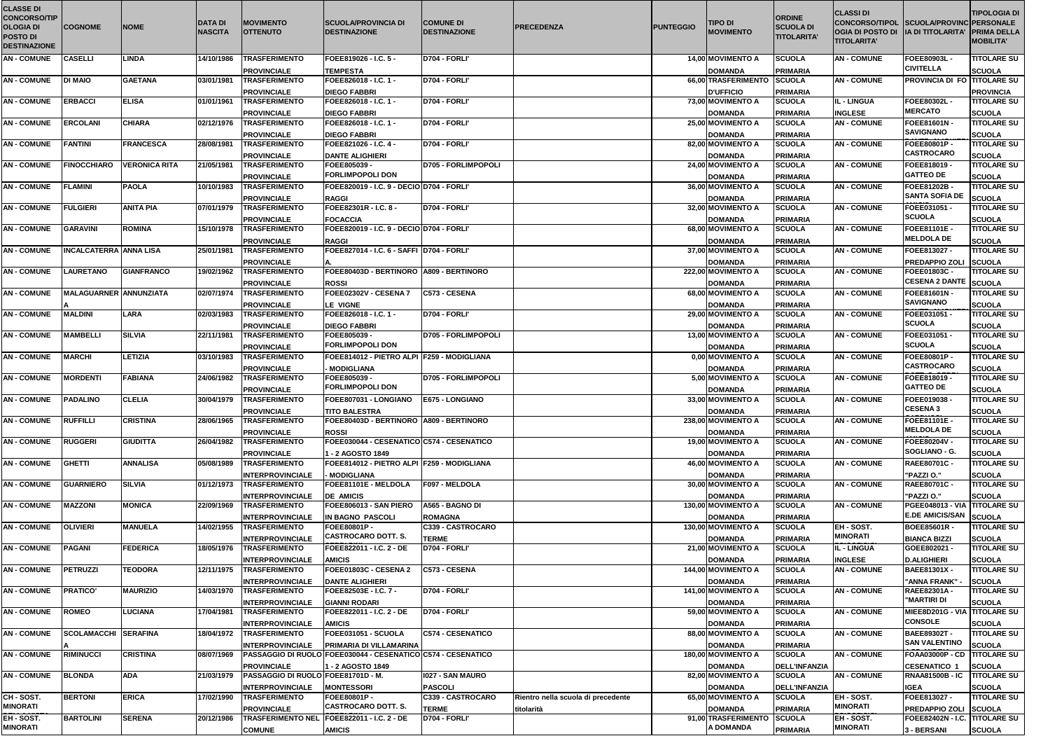| <b>CLASSE DI</b><br><b>CONCORSO/TIP</b> |                                |                      |                                  |                                                          |                                                                 |                                         |                                    |                  |                                       | <b>ORDINE</b>                          | <b>CLASSI DI</b>                                                                                                  |                                               | <b>TIPOLOGIA DI</b>                 |
|-----------------------------------------|--------------------------------|----------------------|----------------------------------|----------------------------------------------------------|-----------------------------------------------------------------|-----------------------------------------|------------------------------------|------------------|---------------------------------------|----------------------------------------|-------------------------------------------------------------------------------------------------------------------|-----------------------------------------------|-------------------------------------|
| <b>OLOGIA DI</b><br><b>POSTO DI</b>     | <b>COGNOME</b>                 | <b>NOME</b>          | <b>DATA DI</b><br><b>NASCITA</b> | <b>MOVIMENTO</b><br><b>OTTENUTO</b>                      | <b>SCUOLA/PROVINCIA DI</b><br><b>IDESTINAZIONE</b>              | <b>COMUNE DI</b><br><b>DESTINAZIONE</b> | <b>IPRECEDENZA</b>                 | <b>PUNTEGGIO</b> | <b>TIPO DI</b><br><b>MOVIMENTO</b>    | <b>SCUOLA DI</b><br><b>TITOLARITA'</b> | CONCORSO/TIPOL SCUOLA/PROVINC PERSONALE<br>OGIA DI POSTO DI   IA DI TITOLARITA' PRIMA DELLA<br><b>TITOLARITA'</b> |                                               | <b>MOBILITA'</b>                    |
| <b>DESTINAZIONE</b>                     |                                |                      |                                  |                                                          |                                                                 |                                         |                                    |                  |                                       |                                        |                                                                                                                   |                                               |                                     |
| <b>AN-COMUNE</b>                        | <b>CASELLI</b>                 | <b>LINDA</b>         | 14/10/1986                       | <b>TRASFERIMENTO</b>                                     | FOEE819026 - I.C. 5 -                                           | D704 - FORLI'                           |                                    |                  | 14,00 MOVIMENTO A                     | <b>SCUOLA</b>                          | <b>AN-COMUNE</b>                                                                                                  | <b>FOEE80903L</b><br><b>CIVITELLA</b>         | <b>TITOLARE SU</b>                  |
| <b>AN-COMUNE</b>                        | <b>DI MAIO</b>                 | <b>GAETANA</b>       | 03/01/1981                       | <b>PROVINCIALE</b><br><b>TRASFERIMENTO</b>               | <b>TEMPESTA</b><br>FOEE826018 - I.C. 1 -                        | D704 - FORLI'                           |                                    |                  | <b>DOMANDA</b><br>66,00 TRASFERIMENTO | <b>PRIMARIA</b><br><b>SCUOLA</b>       | <b>AN-COMUNE</b>                                                                                                  | <b>PROVINCIA DI FO TITOLARE SU</b>            | <b>SCUOLA</b>                       |
|                                         |                                |                      |                                  | <b>PROVINCIALE</b>                                       | <b>DIEGO FABBRI</b>                                             |                                         |                                    |                  | <b>D'UFFICIO</b>                      | <b>PRIMARIA</b>                        |                                                                                                                   |                                               | <b>PROVINCIA</b>                    |
| <b>AN-COMUNE</b>                        | <b>ERBACCI</b>                 | <b>ELISA</b>         | 01/01/1961                       | <b>TRASFERIMENTO</b>                                     | FOEE826018 - I.C. 1 -                                           | D704 - FORLI'                           |                                    |                  | 73,00 MOVIMENTO A                     | <b>SCUOLA</b>                          | IL - LINGUA                                                                                                       | <b>FOEE80302L-</b>                            | <b>TITOLARE SU</b>                  |
|                                         |                                |                      |                                  | <b>PROVINCIALE</b>                                       | <b>DIEGO FABBRI</b>                                             |                                         |                                    |                  | <b>DOMANDA</b>                        | <b>PRIMARIA</b>                        | <b>INGLESE</b>                                                                                                    | <b>MERCATO</b>                                | <b>SCUOLA</b>                       |
| <b>AN-COMUNE</b>                        | <b>ERCOLANI</b>                | <b>CHIARA</b>        | 02/12/1976                       | <b>TRASFERIMENTO</b>                                     | FOEE826018 - I.C. 1 -                                           | D704 - FORLI'                           |                                    |                  | 25,00 MOVIMENTO A                     | <b>SCUOLA</b>                          | <b>AN - COMUNE</b>                                                                                                | <b>FOEE81601N</b>                             | <b>TITOLARE SU</b>                  |
| <b>AN-COMUNE</b>                        | <b>FANTINI</b>                 | <b>FRANCESCA</b>     | 28/08/1981                       | <b>PROVINCIALE</b><br><b>TRASFERIMENTO</b>               | <b>DIEGO FABBRI</b><br>FOEE821026 - I.C. 4 -                    | <b>D704 - FORLI'</b>                    |                                    |                  | <b>DOMANDA</b><br>82,00 MOVIMENTO A   | <b>PRIMARIA</b><br><b>SCUOLA</b>       | <b>AN-COMUNE</b>                                                                                                  | <b>SAVIGNANO</b><br>FOEE80801P-               | <b>SCUOLA</b><br><b>TITOLARE SU</b> |
|                                         |                                |                      |                                  | <b>PROVINCIALE</b>                                       | <b>DANTE ALIGHIERI</b>                                          |                                         |                                    |                  | <b>DOMANDA</b>                        | <b>PRIMARIA</b>                        |                                                                                                                   | <b>CASTROCARO</b>                             | <b>SCUOLA</b>                       |
| <b>AN-COMUNE</b>                        | <b>FINOCCHIARO</b>             | <b>VERONICA RITA</b> | 21/05/1981                       | <b>TRASFERIMENTO</b>                                     | FOEE805039 -                                                    | <b>D705 - FORLIMPOPOLI</b>              |                                    |                  | 24,00 MOVIMENTO A                     | <b>SCUOLA</b>                          | <b>AN-COMUNE</b>                                                                                                  | FOEE818019 -                                  | <b>TITOLARE SU</b>                  |
|                                         |                                |                      |                                  | <b>PROVINCIALE</b>                                       | <b>FORLIMPOPOLI DON</b>                                         |                                         |                                    |                  | <b>DOMANDA</b>                        | <b>PRIMARIA</b>                        |                                                                                                                   | <b>GATTEO DE</b>                              | <b>SCUOLA</b>                       |
| <b>AN-COMUNE</b>                        | <b>FLAMINI</b>                 | <b>PAOLA</b>         | 10/10/1983                       | <b>TRASFERIMENTO</b>                                     | FOEE820019 - I.C. 9 - DECIO D704 - FORLI'                       |                                         |                                    |                  | 36,00 MOVIMENTO A                     | <b>SCUOLA</b>                          | <b>AN-COMUNE</b>                                                                                                  | FOEE81202B ·                                  | <b>TITOLARE SU</b>                  |
| <b>AN-COMUNE</b>                        | <b>FULGIERI</b>                | <b>ANITA PIA</b>     | 07/01/1979                       | <b>PROVINCIALE</b><br><b>TRASFERIMENTO</b>               | <b>RAGGI</b><br>FOEE82301R - I.C. 8 -                           | D704 - FORLI'                           |                                    |                  | <b>DOMANDA</b><br>32,00 MOVIMENTO A   | <b>PRIMARIA</b>                        | <b>AN-COMUNE</b>                                                                                                  | <b>SANTA SOFIA DE</b><br>FOEE031051 -         | <b>SCUOLA</b><br><b>TITOLARE SU</b> |
|                                         |                                |                      |                                  | <b>PROVINCIALE</b>                                       | <b>FOCACCIA</b>                                                 |                                         |                                    |                  | <b>DOMANDA</b>                        | <b>SCUOLA</b><br><b>PRIMARIA</b>       |                                                                                                                   | <b>SCUOLA</b>                                 | <b>SCUOLA</b>                       |
| <b>AN-COMUNE</b>                        | <b>GARAVINI</b>                | <b>ROMINA</b>        | 15/10/1978                       | <b>TRASFERIMENTO</b>                                     | FOEE820019 - I.C. 9 - DECIO D704 - FORLI'                       |                                         |                                    |                  | 68,00 MOVIMENTO A                     | <b>SCUOLA</b>                          | <b>AN-COMUNE</b>                                                                                                  | <b>FOEE81101E -</b>                           | <b>TITOLARE SU</b>                  |
|                                         |                                |                      |                                  | <b>PROVINCIALE</b>                                       | <b>RAGGI</b>                                                    |                                         |                                    |                  | <b>DOMANDA</b>                        | <b>PRIMARIA</b>                        |                                                                                                                   | <b>MELDOLA DE</b>                             | <b>SCUOLA</b>                       |
| <b>AN-COMUNE</b>                        | <b>INCALCATERRA LANNA LISA</b> |                      | 25/01/1981                       | <b>TRASFERIMENTO</b>                                     | FOEE827014 - I.C. 6 - SAFFI D704 - FORLI'                       |                                         |                                    |                  | 37,00 MOVIMENTO A                     | <b>SCUOLA</b>                          | <b>AN-COMUNE</b>                                                                                                  | FOEE813027 -                                  | <b>TITOLARE SU</b>                  |
|                                         |                                |                      |                                  | <b>PROVINCIALE</b>                                       |                                                                 |                                         |                                    |                  | <b>DOMANDA</b>                        | <b>PRIMARIA</b>                        |                                                                                                                   | <b>PREDAPPIO ZOLI</b>                         | SCUOLA                              |
| <b>AN-COMUNE</b>                        | <b>LAURETANO</b>               | <b>GIANFRANCO</b>    | 19/02/1962                       | <b>TRASFERIMENTO</b><br><b>PROVINCIALE</b>               | FOEE80403D - BERTINORO   A809 - BERTINORO<br><b>ROSSI</b>       |                                         |                                    |                  | 222,00 MOVIMENTO A<br><b>DOMANDA</b>  | <b>ISCUOLA</b><br><b>PRIMARIA</b>      | <b>AN - COMUNE</b>                                                                                                | FOEE01803C -<br><b>CESENA 2 DANTE</b>         | <b>TITOLARE SU</b><br><b>SCUOLA</b> |
| <b>AN-COMUNE</b>                        | <b>MALAGUARNER ANNUNZIATA</b>  |                      | 02/07/1974                       | <b>TRASFERIMENTO</b>                                     | FOEE02302V - CESENA 7                                           | C573 - CESENA                           |                                    |                  | 68,00 MOVIMENTO A                     | <b>SCUOLA</b>                          | <b>AN-COMUNE</b>                                                                                                  | FOEE81601N-                                   | <b>TITOLARE SU</b>                  |
|                                         |                                |                      |                                  | <b>PROVINCIALE</b>                                       | LE VIGNE                                                        |                                         |                                    |                  | <b>DOMANDA</b>                        | <b>PRIMARIA</b>                        |                                                                                                                   | <b>SAVIGNANO</b>                              | <b>SCUOLA</b>                       |
| <b>AN-COMUNE</b>                        | <b>MALDINI</b>                 | <b>LARA</b>          | 02/03/1983                       | <b>TRASFERIMENTO</b>                                     | FOEE826018 - I.C. 1 -                                           | D704 - FORLI'                           |                                    |                  | 29,00 MOVIMENTO A                     | <b>SCUOLA</b>                          | <b>AN-COMUNE</b>                                                                                                  | FOEE031051 -                                  | <b>TITOLARE SU</b>                  |
|                                         |                                |                      |                                  | <b>IPROVINCIALE</b>                                      | <b>DIEGO FABBRI</b>                                             |                                         |                                    |                  | <b>DOMANDA</b>                        | <b>PRIMARIA</b>                        |                                                                                                                   | <b>SCUOLA</b>                                 | <b>SCUOLA</b>                       |
| <b>AN - COMUNE</b>                      | <b>MAMBELLI</b>                | <b>SILVIA</b>        | 22/11/1981                       | <b>TRASFERIMENTO</b>                                     | FOEE805039 -<br><b>FORLIMPOPOLI DON</b>                         | <b>D705 - FORLIMPOPOLI</b>              |                                    |                  | 13,00 MOVIMENTO A                     | <b>SCUOLA</b>                          | <b>AN-COMUNE</b>                                                                                                  | FOEE031051 -<br><b>SCUOLA</b>                 | <b>TITOLARE SU</b>                  |
| <b>AN - COMUNE</b>                      | <b>MARCHI</b>                  | LETIZIA              | 03/10/1983                       | <b>PROVINCIALE</b><br><b>TRASFERIMENTO</b>               | FOEE814012 - PIETRO ALPI F259 - MODIGLIANA                      |                                         |                                    |                  | <b>DOMANDA</b><br>0,00 MOVIMENTO A    | <b>PRIMARIA</b><br><b>SCUOLA</b>       | <b>AN-COMUNE</b>                                                                                                  | FOEE80801P-                                   | <b>SCUOLA</b><br><b>TITOLARE SU</b> |
|                                         |                                |                      |                                  | <b>PROVINCIALE</b>                                       | <b>MODIGLIANA</b>                                               |                                         |                                    |                  | <b>DOMANDA</b>                        | <b>PRIMARIA</b>                        |                                                                                                                   | <b>CASTROCARO</b>                             | <b>SCUOLA</b>                       |
| <b>AN - COMUNE</b>                      | <b>MORDENTI</b>                | <b>FABIANA</b>       | 24/06/1982                       | <b>TRASFERIMENTO</b>                                     | FOEE805039 -                                                    | <b>D705 - FORLIMPOPOLI</b>              |                                    |                  | 5,00 MOVIMENTO A                      | <b>SCUOLA</b>                          | <b>AN - COMUNE</b>                                                                                                | FOEE818019 -                                  | <b>TITOLARE SU</b>                  |
|                                         |                                |                      |                                  | <b>PROVINCIALE</b>                                       | <b>FORLIMPOPOLI DON</b>                                         |                                         |                                    |                  | <b>DOMANDA</b>                        | <b>PRIMARIA</b>                        |                                                                                                                   | <b>GATTEO DE</b>                              | <b>SCUOLA</b>                       |
| AN-COMUNE PADALINO                      |                                | <b>CLELIA</b>        |                                  | 30/04/1979 TRASFERIMENTO                                 | FOEE807031 - LONGIANO E675 - LONGIANO                           |                                         |                                    |                  | 33,00 MOVIMENTO A                     | <b>SCUOLA</b>                          | <b>AN - COMUNE</b>                                                                                                | FOEE019038 -<br><b>CESENA3</b>                | <b>TITOLARE SU</b>                  |
| <b>AN - COMUNE</b>                      | <b>RUFFILLI</b>                | <b>CRISTINA</b>      | 28/06/1965                       | <b>PROVINCIALE</b><br><b>TRASFERIMENTO</b>               | <b>TITO BALESTRA</b><br>FOEE80403D - BERTINORO A809 - BERTINORO |                                         |                                    |                  | <b>DOMANDA</b><br>238,00 MOVIMENTO A  | <b>PRIMARIA</b><br><b>SCUOLA</b>       | <b>AN-COMUNE</b>                                                                                                  | <b>FOEE81101E -</b>                           | <b>SCUOLA</b><br><b>TITOLARE SU</b> |
|                                         |                                |                      |                                  | <b>PROVINCIALE</b>                                       | <b>ROSSI</b>                                                    |                                         |                                    |                  | <b>DOMANDA</b>                        | <b>PRIMARIA</b>                        |                                                                                                                   | <b>MELDOLA DE</b>                             | <b>SCUOLA</b>                       |
| <b>AN-COMUNE</b>                        | <b>RUGGERI</b>                 | <b>GIUDITTA</b>      | 26/04/1982                       | <b>TRASFERIMENTO</b>                                     | FOEE030044 - CESENATICO C574 - CESENATICO                       |                                         |                                    |                  | 19,00 MOVIMENTO A                     | <b>SCUOLA</b>                          | <b>AN-COMUNE</b>                                                                                                  | <b>FOEE80204V -</b>                           | <b>TITOLARE SU</b>                  |
|                                         |                                |                      |                                  | <b>PROVINCIALE</b>                                       | 1 - 2 AGOSTO 1849                                               |                                         |                                    |                  | <b>DOMANDA</b>                        | <b>PRIMARIA</b>                        |                                                                                                                   | SOGLIANO - G.                                 | <b>SCUOLA</b>                       |
| <b>AN - COMUNE</b>                      | <b>GHETTI</b>                  | <b>ANNALISA</b>      | 05/08/1989                       | <b>TRASFERIMENTO</b>                                     | FOEE814012 - PIETRO ALPI F259 - MODIGLIANA                      |                                         |                                    |                  | 46,00 MOVIMENTO A                     | <b>SCUOLA</b>                          | <b>AN-COMUNE</b>                                                                                                  | <b>RAEE80701C -</b>                           | <b>TITOLARE SU</b>                  |
| <b>AN-COMUNE</b>                        | <b>GUARNIERO</b>               | <b>SILVIA</b>        | 01/12/1973                       | <b>INTERPROVINCIALE</b><br><b>TRASFERIMENTO</b>          | <b>MODIGLIANA</b><br>FOEE81101E - MELDOLA                       | <b>F097 - MELDOLA</b>                   |                                    |                  | <b>DOMANDA</b><br>30,00 MOVIMENTO A   | <b>PRIMARIA</b><br><b>SCUOLA</b>       | <b>AN-COMUNE</b>                                                                                                  | "PAZZI O."<br><b>RAEE80701C -</b>             | <b>SCUOLA</b><br><b>TITOLARE SU</b> |
|                                         |                                |                      |                                  | <b>INTERPROVINCIALE</b>                                  | <b>DE AMICIS</b>                                                |                                         |                                    |                  | <b>DOMANDA</b>                        | <b>PRIMARIA</b>                        |                                                                                                                   | "PAZZI O."                                    | <b>SCUOLA</b>                       |
| <b>AN - COMUNE</b>                      | <b>MAZZONI</b>                 | <b>MONICA</b>        | 22/09/1969                       | <b>TRASFERIMENTO</b>                                     | FOEE806013 - SAN PIERO                                          | A565 - BAGNO DI                         |                                    |                  | 130,00 MOVIMENTO A                    | <b>SCUOLA</b>                          | <b>AN-COMUNE</b>                                                                                                  | PGEE048013 - VIA TITOLARE SU                  |                                     |
|                                         |                                |                      |                                  | <b>INTERPROVINCIALE</b>                                  | IN BAGNO PASCOLI                                                | ROMAGNA                                 |                                    |                  | <b>DOMANDA</b>                        | <b>PRIMARIA</b>                        |                                                                                                                   | <b>E.DE AMICIS/SAN</b>                        | <b>SCUOLA</b>                       |
| <b>AN - COMUNE</b>                      | <b>OLIVIERI</b>                | <b>MANUELA</b>       | 14/02/1955                       | <b>TRASFERIMENTO</b>                                     | FOEE80801P-<br><b>CASTROCARO DOTT. S.</b>                       | C339 - CASTROCARO                       |                                    |                  | 130,00 MOVIMENTO A                    | <b>SCUOLA</b>                          | EH - SOST.<br><b>MINORATI</b>                                                                                     | <b>BOEE85601R-</b>                            | <b>TITOLARE SU</b>                  |
| <b>AN-COMUNE</b>                        | <b>PAGANI</b>                  | <b>FEDERICA</b>      | 18/05/1976                       | <b>INTERPROVINCIALE</b><br><b>TRASFERIMENTO</b>          | FOEE822011 - I.C. 2 - DE                                        | <b>TERME</b><br><b>D704 - FORLI'</b>    |                                    |                  | <b>DOMANDA</b><br>21,00 MOVIMENTO A   | <b>PRIMARIA</b><br><b>SCUOLA</b>       | IL - LINGUA                                                                                                       | <b>BIANCA BIZZI</b><br>GOEE802021 -           | <b>SCUOLA</b><br><b>TITOLARE SU</b> |
|                                         |                                |                      |                                  | <b>INTERPROVINCIALE</b>                                  | <b>AMICIS</b>                                                   |                                         |                                    |                  | <b>DOMANDA</b>                        | <b>PRIMARIA</b>                        | <b>INGLESE</b>                                                                                                    | <b>D.ALIGHIERI</b>                            | <b>SCUOLA</b>                       |
| <b>AN - COMUNE</b>                      | <b>PETRUZZI</b>                | <b>TEODORA</b>       | 12/11/1975                       | <b>TRASFERIMENTO</b>                                     | FOEE01803C - CESENA 2                                           | C573 - CESENA                           |                                    |                  | 144,00 MOVIMENTO A                    | <b>SCUOLA</b>                          | <b>AN-COMUNE</b>                                                                                                  | <b>BAEE81301X -</b>                           | <b>TITOLARE SU</b>                  |
|                                         |                                |                      |                                  | <b>INTERPROVINCIALE</b>                                  | <b>DANTE ALIGHIERI</b>                                          |                                         |                                    |                  | <b>DOMANDA</b>                        | <b>PRIMARIA</b>                        |                                                                                                                   | "ANNA FRANK"                                  | <b>SCUOLA</b>                       |
| <b>AN-COMUNE</b>                        | <b>PRATICO'</b>                | <b>MAURIZIO</b>      | 14/03/1970                       | <b>TRASFERIMENTO</b>                                     | FOEE82503E - I.C. 7 -                                           | D704 - FORLI'                           |                                    |                  | 141,00 MOVIMENTO A                    | <b>SCUOLA</b>                          | <b>AN - COMUNE</b>                                                                                                | <b>RAEE82301A-</b><br>"MARTIRI DI             | <b>TITOLARE SU</b>                  |
| <b>AN-COMUNE</b>                        | <b>ROMEO</b>                   | LUCIANA              | 17/04/1981                       | <b>INTERPROVINCIALE</b><br><b>TRASFERIMENTO</b>          | <b>GIANNI RODARI</b><br> FOEE822011 - I.C. 2 - DE               | D704 - FORLI'                           |                                    |                  | <b>DOMANDA</b><br>59,00 MOVIMENTO A   | <b>PRIMARIA</b><br><b>SCUOLA</b>       | <b>AN - COMUNE</b>                                                                                                | MIEE8D201G - VIA  TITOLARE SU                 | <b>SCUOLA</b>                       |
|                                         |                                |                      |                                  | <b>INTERPROVINCIALE</b>                                  | <b>AMICIS</b>                                                   |                                         |                                    |                  | <b>DOMANDA</b>                        | <b>PRIMARIA</b>                        |                                                                                                                   | <b>CONSOLE</b>                                | <b>SCUOLA</b>                       |
| <b>AN-COMUNE</b>                        | <b>SCOLAMACCHI SERAFINA</b>    |                      | 18/04/1972                       | <b>TRASFERIMENTO</b>                                     | FOEE031051 - SCUOLA                                             | <b>C574 - CESENATICO</b>                |                                    |                  | 88,00 MOVIMENTO A                     | <b>SCUOLA</b>                          | <b>AN - COMUNE</b>                                                                                                | <b>BAEE89302T-</b>                            | <b>TITOLARE SU</b>                  |
|                                         |                                |                      |                                  | <b>INTERPROVINCIALE</b>                                  | <b>PRIMARIA DI VILLAMARINA</b>                                  |                                         |                                    |                  | <b>DOMANDA</b>                        | <b>PRIMARIA</b>                        |                                                                                                                   | <b>SAN VALENTINO</b>                          | <b>SCUOLA</b>                       |
| <b>AN-COMUNE</b>                        | <b>RIMINUCCI</b>               | <b>CRISTINA</b>      | 08/07/1969                       |                                                          | PASSAGGIO DI RUOLO FOEE030044 - CESENATICO C574 - CESENATICO    |                                         |                                    |                  | 180,00 MOVIMENTO A                    | <b>SCUOLA</b>                          | <b>AN-COMUNE</b>                                                                                                  | FOAA03000P - CD TITOLARE SU                   |                                     |
| <b>AN-COMUNE</b>                        | <b>BLONDA</b>                  | <b>ADA</b>           | 21/03/1979                       | <b>PROVINCIALE</b><br>PASSAGGIO DI RUOLO FOEE81701D - M. | 1 - 2 AGOSTO 1849                                               | 1027 - SAN MAURO                        |                                    |                  | <b>DOMANDA</b><br>82,00 MOVIMENTO A   | <b>DELL'INFANZIA</b><br><b>SCUOLA</b>  | <b>AN - COMUNE</b>                                                                                                | <b>CESENATICO 1</b><br><b>RNAA81500B - IC</b> | <b>SCUOLA</b><br><b>TITOLARE SU</b> |
|                                         |                                |                      |                                  | <b>INTERPROVINCIALE</b>                                  | <b>MONTESSORI</b>                                               | <b>PASCOLI</b>                          |                                    |                  | <b>DOMANDA</b>                        | <b>DELL'INFANZIA</b>                   |                                                                                                                   | <b>IGEA</b>                                   | <b>SCUOLA</b>                       |
| CH-SOST.                                | <b>BERTONI</b>                 | <b>ERICA</b>         | 17/02/1990                       | <b>TRASFERIMENTO</b>                                     | <b>FOEE80801P-</b>                                              | C339 - CASTROCARO                       | Rientro nella scuola di precedente |                  | 65,00 MOVIMENTO A                     | <b>SCUOLA</b>                          | EH - SOST.                                                                                                        | FOEE813027 -                                  | <b>TITOLARE SU</b>                  |
| <b>MINORATI</b>                         |                                |                      |                                  | <b>PROVINCIALE</b>                                       | <b>CASTROCARO DOTT. S.</b>                                      | <b>TERME</b>                            | titolarità                         |                  | <b>DOMANDA</b>                        | <b>PRIMARIA</b>                        | <b>MINORATI</b>                                                                                                   | <b>PREDAPPIO ZOLI</b>                         | SCUOLA                              |
| EH-SOST.                                | <b>BARTOLINI</b>               | <b>SERENA</b>        | 20/12/1986                       |                                                          | TRASFERIMENTO NEL FOEE822011 - I.C. 2 - DE                      | D704 - FORLI'                           |                                    |                  | 91,00 TRASFERIMENTO                   | <b>SCUOLA</b>                          | EH - SOST.                                                                                                        | FOEE82402N - I.C. TITOLARE SU                 |                                     |
| <b>MINORATI</b>                         |                                |                      |                                  | <b>COMUNE</b>                                            | <b>AMICIS</b>                                                   |                                         |                                    |                  | A DOMANDA                             | <b>PRIMARIA</b>                        | <b>MINORATI</b>                                                                                                   | 3 - BERSANI                                   | <b>SCUOLA</b>                       |